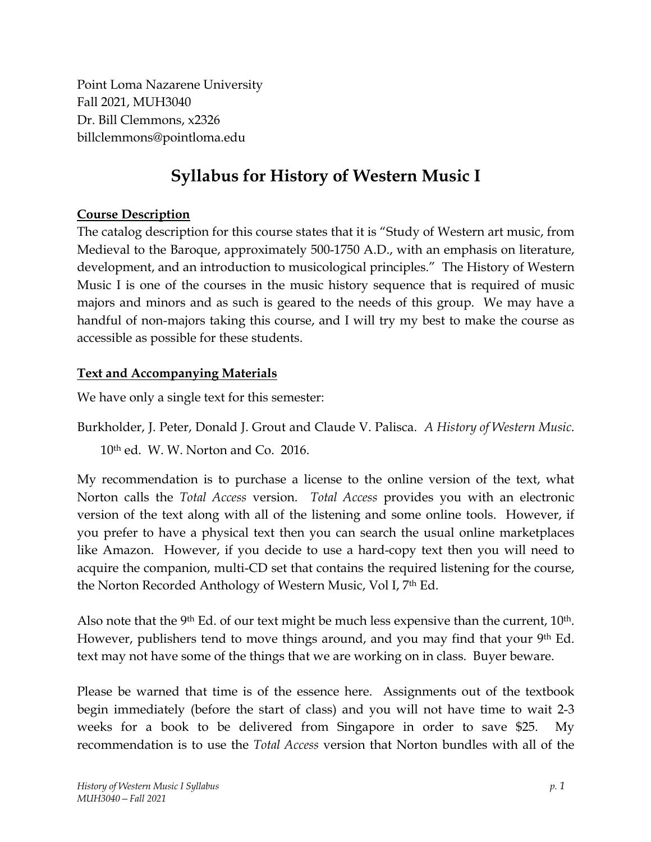Point Loma Nazarene University Fall 2021, MUH3040 Dr. Bill Clemmons, x2326 billclemmons@pointloma.edu

# **Syllabus for History of Western Music I**

### **Course Description**

The catalog description for this course states that it is "Study of Western art music, from Medieval to the Baroque, approximately 500-1750 A.D., with an emphasis on literature, development, and an introduction to musicological principles." The History of Western Music I is one of the courses in the music history sequence that is required of music majors and minors and as such is geared to the needs of this group. We may have a handful of non-majors taking this course, and I will try my best to make the course as accessible as possible for these students.

### **Text and Accompanying Materials**

We have only a single text for this semester:

Burkholder, J. Peter, Donald J. Grout and Claude V. Palisca. *A History of Western Music*. 10th ed. W. W. Norton and Co. 2016.

My recommendation is to purchase a license to the online version of the text, what Norton calls the *Total Access* version. *Total Access* provides you with an electronic version of the text along with all of the listening and some online tools. However, if you prefer to have a physical text then you can search the usual online marketplaces like Amazon. However, if you decide to use a hard-copy text then you will need to acquire the companion, multi-CD set that contains the required listening for the course, the Norton Recorded Anthology of Western Music, Vol I, 7th Ed.

Also note that the 9<sup>th</sup> Ed. of our text might be much less expensive than the current, 10<sup>th</sup>. However, publishers tend to move things around, and you may find that your 9<sup>th</sup> Ed. text may not have some of the things that we are working on in class. Buyer beware.

Please be warned that time is of the essence here. Assignments out of the textbook begin immediately (before the start of class) and you will not have time to wait 2-3 weeks for a book to be delivered from Singapore in order to save \$25. My recommendation is to use the *Total Access* version that Norton bundles with all of the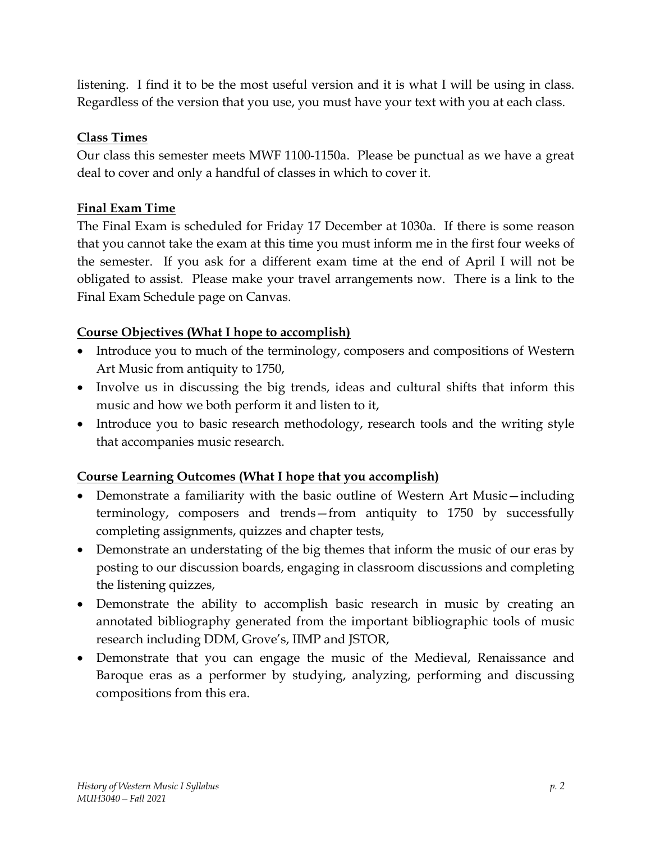listening. I find it to be the most useful version and it is what I will be using in class. Regardless of the version that you use, you must have your text with you at each class.

# **Class Times**

Our class this semester meets MWF 1100-1150a. Please be punctual as we have a great deal to cover and only a handful of classes in which to cover it.

## **Final Exam Time**

The Final Exam is scheduled for Friday 17 December at 1030a. If there is some reason that you cannot take the exam at this time you must inform me in the first four weeks of the semester. If you ask for a different exam time at the end of April I will not be obligated to assist. Please make your travel arrangements now. There is a link to the Final Exam Schedule page on Canvas.

# **Course Objectives (What I hope to accomplish)**

- Introduce you to much of the terminology, composers and compositions of Western Art Music from antiquity to 1750,
- Involve us in discussing the big trends, ideas and cultural shifts that inform this music and how we both perform it and listen to it,
- Introduce you to basic research methodology, research tools and the writing style that accompanies music research.

# **Course Learning Outcomes (What I hope that you accomplish)**

- Demonstrate a familiarity with the basic outline of Western Art Music—including terminology, composers and trends—from antiquity to 1750 by successfully completing assignments, quizzes and chapter tests,
- Demonstrate an understating of the big themes that inform the music of our eras by posting to our discussion boards, engaging in classroom discussions and completing the listening quizzes,
- Demonstrate the ability to accomplish basic research in music by creating an annotated bibliography generated from the important bibliographic tools of music research including DDM, Grove's, IIMP and JSTOR,
- Demonstrate that you can engage the music of the Medieval, Renaissance and Baroque eras as a performer by studying, analyzing, performing and discussing compositions from this era.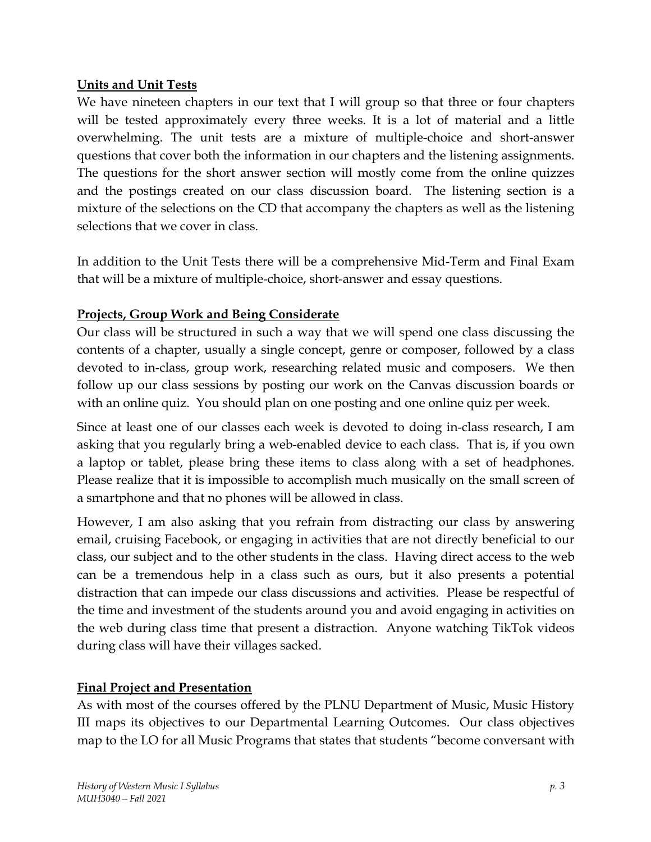#### **Units and Unit Tests**

We have nineteen chapters in our text that I will group so that three or four chapters will be tested approximately every three weeks. It is a lot of material and a little overwhelming. The unit tests are a mixture of multiple-choice and short-answer questions that cover both the information in our chapters and the listening assignments. The questions for the short answer section will mostly come from the online quizzes and the postings created on our class discussion board. The listening section is a mixture of the selections on the CD that accompany the chapters as well as the listening selections that we cover in class.

In addition to the Unit Tests there will be a comprehensive Mid-Term and Final Exam that will be a mixture of multiple-choice, short-answer and essay questions.

# **Projects, Group Work and Being Considerate**

Our class will be structured in such a way that we will spend one class discussing the contents of a chapter, usually a single concept, genre or composer, followed by a class devoted to in-class, group work, researching related music and composers. We then follow up our class sessions by posting our work on the Canvas discussion boards or with an online quiz. You should plan on one posting and one online quiz per week.

Since at least one of our classes each week is devoted to doing in-class research, I am asking that you regularly bring a web-enabled device to each class. That is, if you own a laptop or tablet, please bring these items to class along with a set of headphones. Please realize that it is impossible to accomplish much musically on the small screen of a smartphone and that no phones will be allowed in class.

However, I am also asking that you refrain from distracting our class by answering email, cruising Facebook, or engaging in activities that are not directly beneficial to our class, our subject and to the other students in the class. Having direct access to the web can be a tremendous help in a class such as ours, but it also presents a potential distraction that can impede our class discussions and activities. Please be respectful of the time and investment of the students around you and avoid engaging in activities on the web during class time that present a distraction. Anyone watching TikTok videos during class will have their villages sacked.

# **Final Project and Presentation**

As with most of the courses offered by the PLNU Department of Music, Music History III maps its objectives to our Departmental Learning Outcomes. Our class objectives map to the LO for all Music Programs that states that students "become conversant with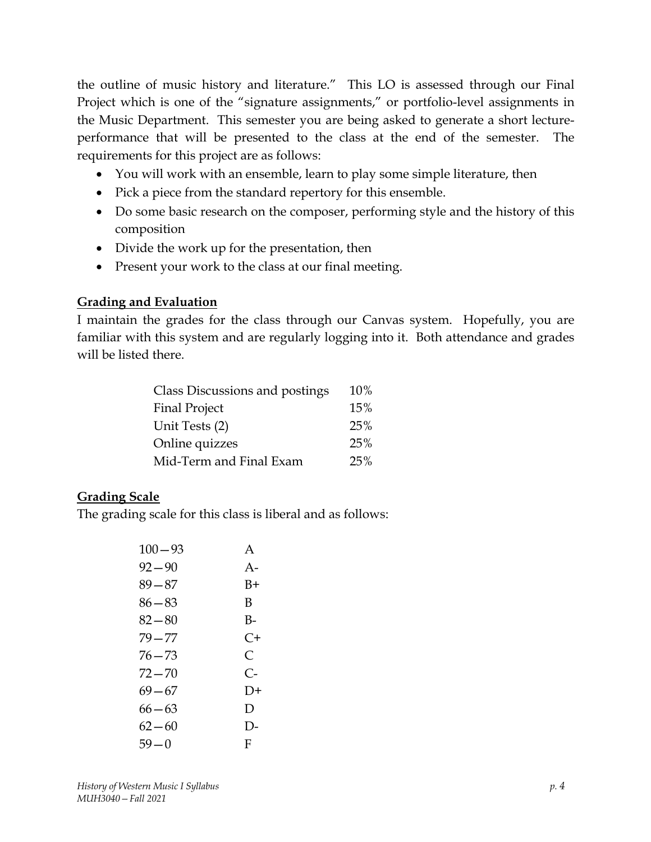the outline of music history and literature." This LO is assessed through our Final Project which is one of the "signature assignments," or portfolio-level assignments in the Music Department. This semester you are being asked to generate a short lectureperformance that will be presented to the class at the end of the semester. The requirements for this project are as follows:

- You will work with an ensemble, learn to play some simple literature, then
- Pick a piece from the standard repertory for this ensemble.
- Do some basic research on the composer, performing style and the history of this composition
- Divide the work up for the presentation, then
- Present your work to the class at our final meeting.

#### **Grading and Evaluation**

I maintain the grades for the class through our Canvas system. Hopefully, you are familiar with this system and are regularly logging into it. Both attendance and grades will be listed there.

| Class Discussions and postings | 10% |
|--------------------------------|-----|
| <b>Final Project</b>           | 15% |
| Unit Tests (2)                 | 25% |
| Online quizzes                 | 25% |
| Mid-Term and Final Exam        | 25% |

# **Grading Scale**

The grading scale for this class is liberal and as follows:

| A          |
|------------|
| $A -$      |
| B+         |
| В          |
| B-         |
| C+         |
| C          |
| $C_{\tau}$ |
| $1) +$     |
| D          |
| $\vert$ )- |
| F          |
|            |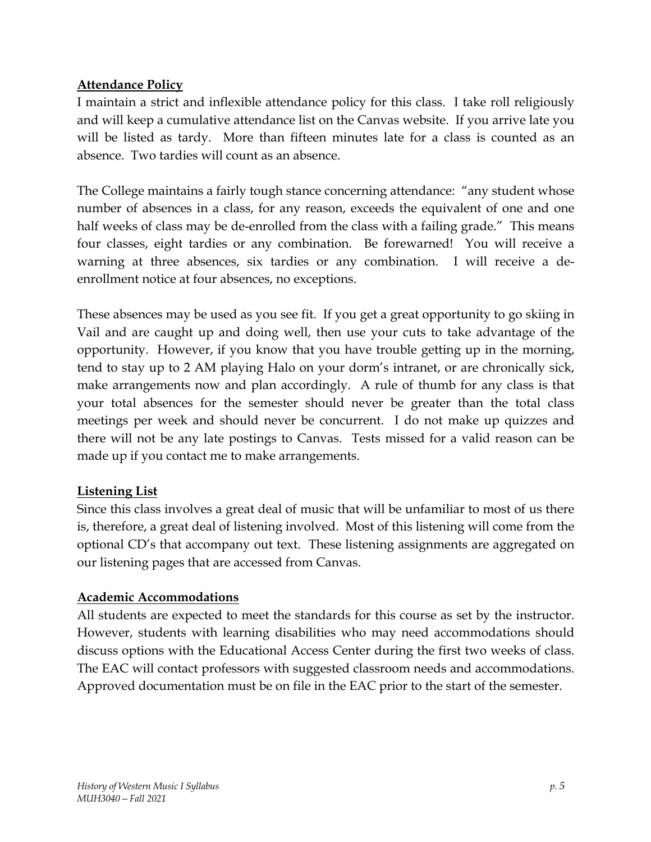#### **Attendance Policy**

I maintain a strict and inflexible attendance policy for this class. I take roll religiously and will keep a cumulative attendance list on the Canvas website. If you arrive late you will be listed as tardy. More than fifteen minutes late for a class is counted as an absence. Two tardies will count as an absence.

The College maintains a fairly tough stance concerning attendance: "any student whose number of absences in a class, for any reason, exceeds the equivalent of one and one half weeks of class may be de-enrolled from the class with a failing grade." This means four classes, eight tardies or any combination. Be forewarned! You will receive a warning at three absences, six tardies or any combination. I will receive a deenrollment notice at four absences, no exceptions.

These absences may be used as you see fit. If you get a great opportunity to go skiing in Vail and are caught up and doing well, then use your cuts to take advantage of the opportunity. However, if you know that you have trouble getting up in the morning, tend to stay up to 2 AM playing Halo on your dorm's intranet, or are chronically sick, make arrangements now and plan accordingly. A rule of thumb for any class is that your total absences for the semester should never be greater than the total class meetings per week and should never be concurrent. I do not make up quizzes and there will not be any late postings to Canvas. Tests missed for a valid reason can be made up if you contact me to make arrangements.

#### **Listening List**

Since this class involves a great deal of music that will be unfamiliar to most of us there is, therefore, a great deal of listening involved. Most of this listening will come from the optional CD's that accompany out text. These listening assignments are aggregated on our listening pages that are accessed from Canvas.

#### **Academic Accommodations**

All students are expected to meet the standards for this course as set by the instructor. However, students with learning disabilities who may need accommodations should discuss options with the Educational Access Center during the first two weeks of class. The EAC will contact professors with suggested classroom needs and accommodations. Approved documentation must be on file in the EAC prior to the start of the semester.